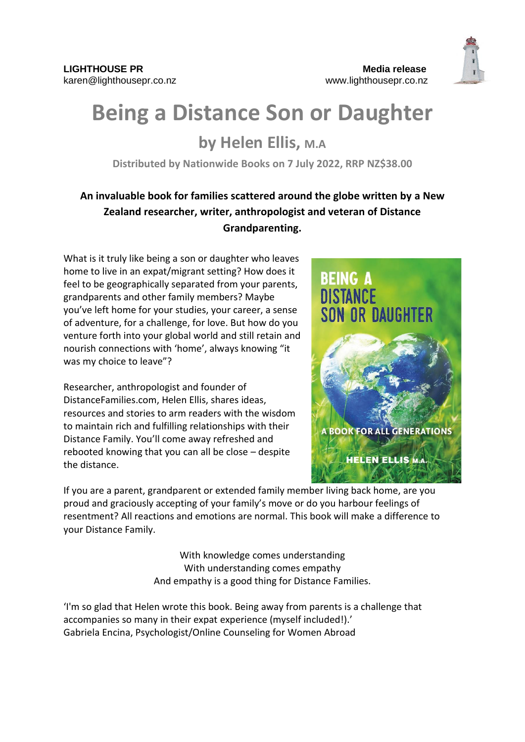

## **Being a Distance Son or Daughter**

## **by Helen Ellis, M.A**

**Distributed by Nationwide Books on 7 July 2022, RRP NZ\$38.00**

## **An invaluable book for families scattered around the globe written by a New Zealand researcher, writer, anthropologist and veteran of Distance Grandparenting.**

What is it truly like being a son or daughter who leaves home to live in an expat/migrant setting? How does it feel to be geographically separated from your parents, grandparents and other family members? Maybe you've left home for your studies, your career, a sense of adventure, for a challenge, for love. But how do you venture forth into your global world and still retain and nourish connections with 'home', always knowing "it was my choice to leave"?

Researcher, anthropologist and founder of DistanceFamilies.com, Helen Ellis, shares ideas, resources and stories to arm readers with the wisdom to maintain rich and fulfilling relationships with their Distance Family. You'll come away refreshed and rebooted knowing that you can all be close – despite the distance.



If you are a parent, grandparent or extended family member living back home, are you proud and graciously accepting of your family's move or do you harbour feelings of resentment? All reactions and emotions are normal. This book will make a difference to your Distance Family.

> With knowledge comes understanding With understanding comes empathy And empathy is a good thing for Distance Families.

'I'm so glad that Helen wrote this book. Being away from parents is a challenge that accompanies so many in their expat experience (myself included!).' Gabriela Encina, Psychologist/Online Counseling for Women Abroad